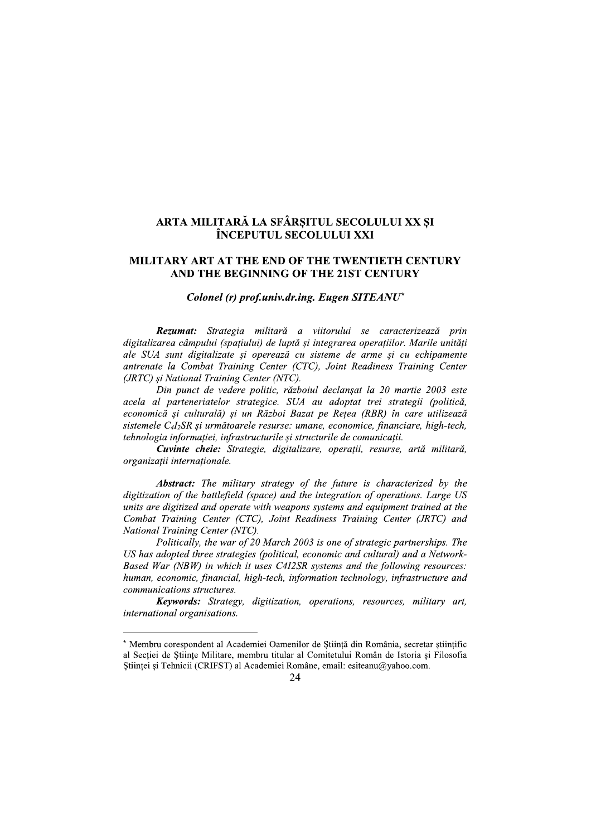# ARTA MILITARĂ LA SFÂRȘITUL SECOLULUI XX ȘI ÎNCEPUTUL SECOLULUI XXI

## MILITARY ART AT THE END OF THE TWENTIETH CENTURY AND THE BEGINNING OF THE 21ST CENTURY

#### Colonel (r) prof.univ.dr.ing. Eugen SITEANU\*

Rezumat: Strategia militară a viitorului se caracterizează prin digitalizarea câmpului (spațiului) de luptă și integrarea operațiilor. Marile unități ale SUA sunt digitalizate și operează cu sisteme de arme și cu echipamente antrenate la Combat Training Center (CTC), Joint Readiness Training Center (JRTC) și National Training Center (NTC).

Din punct de vedere politic, războiul declansat la 20 martie 2003 este acela al parteneriatelor strategice. SUA au adoptat trei strategii (politică, economică și culturală) și un Război Bazat pe Rețea (RBR) în care utilizează sistemele C4I<sub>2</sub>SR și următoarele resurse: umane, economice, financiare, high-tech, tehnologia informației, infrastructurile și structurile de comunicații.

Cuvinte cheie: Strategie, digitalizare, operații, resurse, artă militară, organizații internaționale.

Abstract: The military strategy of the future is characterized by the digitization of the battlefield (space) and the integration of operations. Large US units are digitized and operate with weapons systems and equipment trained at the Combat Training Center (CTC), Joint Readiness Training Center (JRTC) and National Training Center (NTC).

Politically, the war of 20 March 2003 is one of strategic partnerships. The US has adopted three strategies (political, economic and cultural) and a Network-Based War (NBW) in which it uses C412SR systems and the following resources: human, economic, financial, high-tech, information technology, infrastructure and communications structures.

Keywords: Strategy, digitization, operations, resources, military art, international organisations.

<sup>\*</sup> Membru corespondent al Academiei Oamenilor de Stiintă din România, secretar stiintific al Sectiei de Stiinte Militare, membru titular al Comitetului Român de Istoria și Filosofia Științei și Tehnicii (CRIFST) al Academiei Române, email: esiteanu@yahoo.com.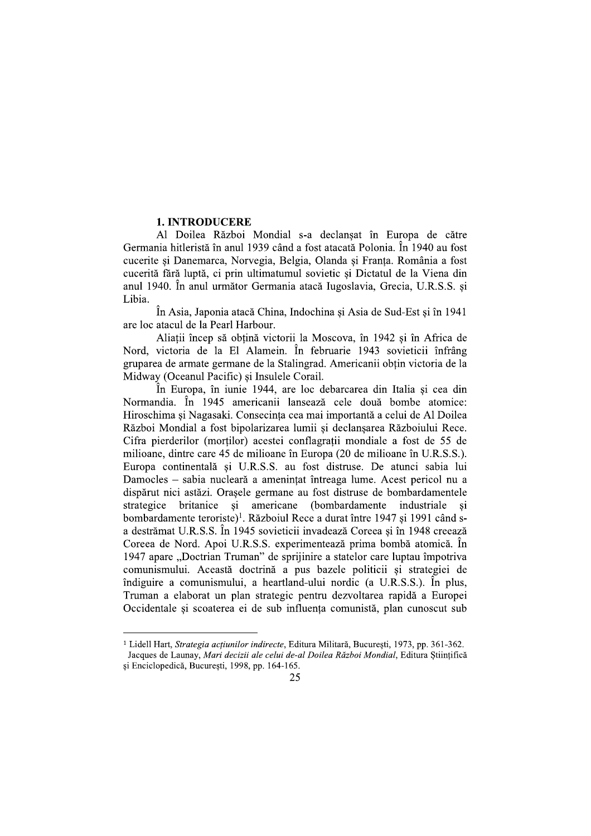## **1. INTRODUCERE**

Al Doilea Război Mondial s-a declansat în Europa de către Germania hitleristă în anul 1939 când a fost atacată Polonia. În 1940 au fost cucerite și Danemarca, Norvegia, Belgia, Olanda și Franța. România a fost cucerită fără luptă, ci prin ultimatumul sovietic și Dictatul de la Viena din anul 1940. În anul următor Germania atacă Iugoslavia, Grecia, U.R.S.S. și Libia.

În Asia, Japonia atacă China, Indochina și Asia de Sud-Est și în 1941 are loc atacul de la Pearl Harbour.

Aliații încep să obțină victorii la Moscova, în 1942 și în Africa de Nord, victoria de la El Alamein. În februarie 1943 sovieticii înfrâng gruparea de armate germane de la Stalingrad. Americanii obțin victoria de la Midway (Oceanul Pacific) si Insulele Corail.

În Europa, în iunie 1944, are loc debarcarea din Italia și cea din Normandia. În 1945 americanii lansează cele două bombe atomice: Hiroschima si Nagasaki. Consecinta cea mai importantă a celui de Al Doilea Război Mondial a fost bipolarizarea lumii și declanșarea Războiului Rece. Cifra pierderilor (mortilor) acestei conflagratii mondiale a fost de 55 de milioane, dintre care 45 de milioane în Europa (20 de milioane în U.R.S.S.). Europa continentală și U.R.S.S. au fost distruse. De atunci sabia lui Damocles – sabia nucleară a amenintat întreaga lume. Acest pericol nu a dispărut nici astăzi. Orașele germane au fost distruse de bombardamentele strategice britanice și americane (bombardamente industriale si bombardamente teroriste<sup>)1</sup>. Războiul Rece a durat între 1947 și 1991 când sa destrămat U.R.S.S. În 1945 sovieticii invadează Coreea și în 1948 creează Coreea de Nord. Apoi U.R.S.S. experimentează prima bombă atomică. În 1947 apare "Doctrian Truman" de sprijinire a statelor care luptau împotriva comunismului. Această doctrină a pus bazele politicii și strategiei de îndiguire a comunismului, a heartland-ului nordic (a U.R.S.S.). În plus, Truman a elaborat un plan strategic pentru dezvoltarea rapidă a Europei Occidentale si scoaterea ei de sub influenta comunistă, plan cunoscut sub

<sup>&</sup>lt;sup>1</sup> Lidell Hart, Strategia acțiunilor indirecte, Editura Militară, București, 1973, pp. 361-362. Jacques de Launay, Mari decizii ale celui de-al Doilea Război Mondial, Editura Stiintifică

și Enciclopedică, București, 1998, pp. 164-165.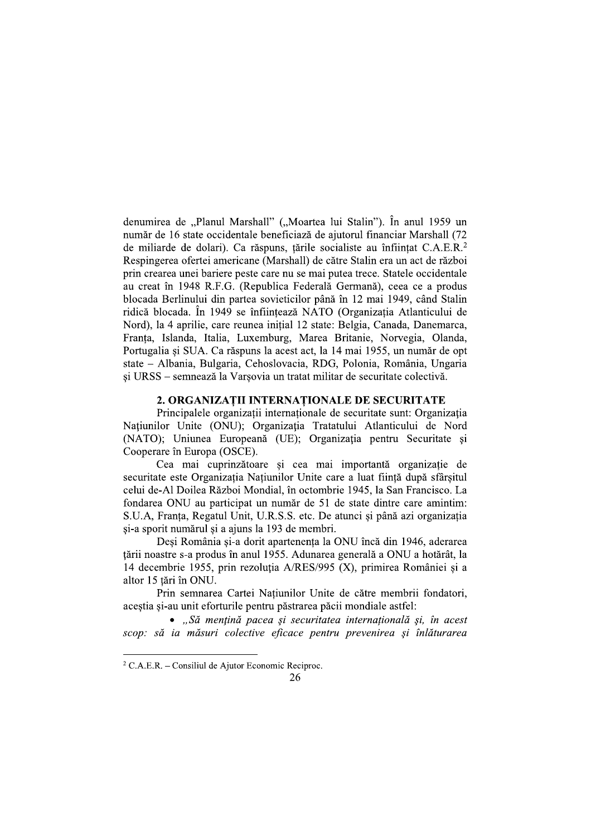denumirea de "Planul Marshall" ("Moartea lui Stalin"). În anul 1959 un număr de 16 state occidentale beneficiază de ajutorul financiar Marshall (72 de miliarde de dolari). Ca răspuns, tările socialiste au înfiintat C.A.E.R.<sup>2</sup> Respingerea ofertei americane (Marshall) de către Stalin era un act de război prin crearea unei bariere peste care nu se mai putea trece. Statele occidentale au creat în 1948 R.F.G. (Republica Federală Germană), ceea ce a produs blocada Berlinului din partea sovieticilor până în 12 mai 1949, când Stalin ridică blocada. În 1949 se înființează NATO (Organizatia Atlanticului de Nord), la 4 aprilie, care reunea inițial 12 state: Belgia, Canada, Danemarca, Franța, Islanda, Italia, Luxemburg, Marea Britanie, Norvegia, Olanda, Portugalia și SUA. Ca răspuns la acest act, la 14 mai 1955, un număr de opt state - Albania, Bulgaria, Cehoslovacia, RDG, Polonia, România, Ungaria si URSS – semnează la Varsovia un tratat militar de securitate colectivă.

## 2. ORGANIZAȚII INTERNAȚIONALE DE SECURITATE

Principalele organizații internaționale de securitate sunt: Organizația Națiunilor Unite (ONU); Organizația Tratatului Atlanticului de Nord (NATO); Uniunea Europeană (UE); Organizația pentru Securitate și Cooperare în Europa (OSCE).

Cea mai cuprinzătoare și cea mai importantă organizație de securitate este Organizația Națiunilor Unite care a luat ființă după sfârșitul celui de-Al Doilea Război Mondial, în octombrie 1945, la San Francisco. La fondarea ONU au participat un număr de 51 de state dintre care amintim: S.U.A, Franța, Regatul Unit, U.R.S.S. etc. De atunci și până azi organizația si-a sporit numărul si a ajuns la 193 de membri.

Deși România și-a dorit apartenența la ONU încă din 1946, aderarea tării noastre s-a produs în anul 1955. Adunarea generală a ONU a hotărât, la 14 decembrie 1955, prin rezoluția A/RES/995 (X), primirea României și a altor 15 tări în ONU.

Prin semnarea Cartei Natiunilor Unite de către membrii fondatori, acestia si-au unit eforturile pentru păstrarea păcii mondiale astfel:

• "Să mențină pacea și securitatea internațională și, în acest scop: să ia măsuri colective eficace pentru prevenirea și înlăturarea

<sup>&</sup>lt;sup>2</sup> C.A.E.R. – Consiliul de Ajutor Economic Reciproc.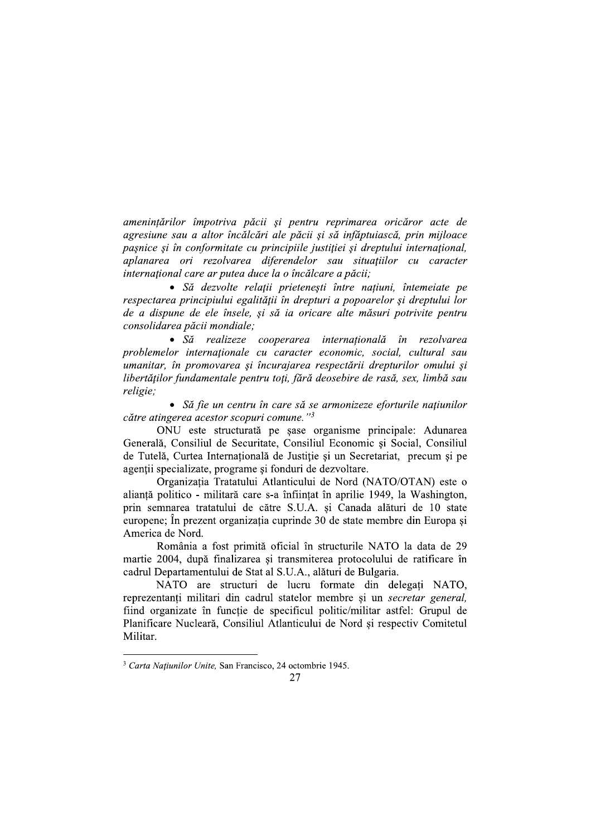amenințărilor împotriva păcii și pentru reprimarea oricăror acte de agresiune sau a altor încălcări ale păcii și să infăptuiască, prin mijloace pasnice si în conformitate cu principiile justitiei și dreptului international. aplanarea ori rezolvarea diferendelor sau situațiilor cu caracter international care ar putea duce la o încălcare a păcii;

· Să dezvolte relații prietenești între națiuni, întemeiate pe respectarea principiului egalității în drepturi a popoarelor și dreptului lor de a dispune de ele însele, și să ia oricare alte măsuri potrivite pentru consolidarea păcii mondiale:

• Să realizeze cooperarea internațională în rezolvarea problemelor internaționale cu caracter economic, social, cultural sau umanitar, în promovarea și încurajarea respectării drepturilor omului și libertăților fundamentale pentru toți, fără deosebire de rasă, sex, limbă sau religie:

• Să fie un centru în care să se armonizeze eforturile națiunilor către atingerea acestor scopuri comune."3

ONU este structurată pe șase organisme principale: Adunarea Generală, Consiliul de Securitate, Consiliul Economic și Social, Consiliul de Tutelă, Curtea Internatională de Justiție și un Secretariat, precum și pe agenții specializate, programe și fonduri de dezvoltare.

Organizatia Tratatului Atlanticului de Nord (NATO/OTAN) este o alianță politico - militară care s-a înființat în aprilie 1949, la Washington, prin semnarea tratatului de către S.U.A. și Canada alături de 10 state europene; În prezent organizația cuprinde 30 de state membre din Europa și America de Nord.

România a fost primită oficial în structurile NATO la data de 29 martie 2004, după finalizarea și transmiterea protocolului de ratificare în cadrul Departamentului de Stat al S.U.A., alături de Bulgaria.

NATO are structuri de lucru formate din delegati NATO, reprezentanți militari din cadrul statelor membre și un secretar general, fiind organizate în funcție de specificul politic/militar astfel: Grupul de Planificare Nucleară, Consiliul Atlanticului de Nord și respectiv Comitetul Militar.

<sup>&</sup>lt;sup>3</sup> Carta Natiunilor Unite, San Francisco, 24 octombrie 1945.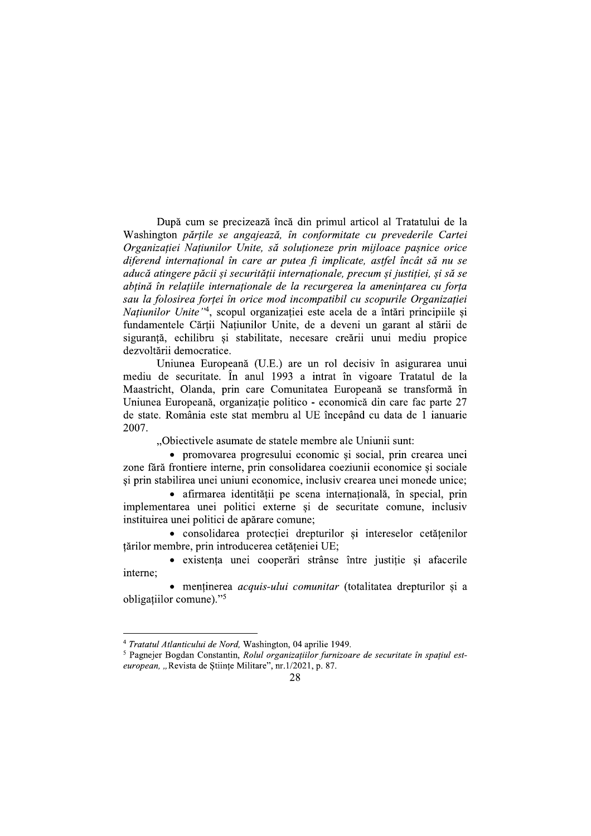După cum se precizează încă din primul articol al Tratatului de la Washington părtile se angajează, în conformitate cu prevederile Cartei Organizatiei Natiunilor Unite, să solutioneze prin miiloace pasnice orice diferend internațional în care ar putea fi implicate, astfel încât să nu se aducă atingere păcii și securității internationale, precum și justitiei, și să se abțină în relațiile internaționale de la recurgerea la amenințarea cu forța sau la folosirea fortei în orice mod incompatibil cu scopurile Organizației Națiunilor Unite<sup>74</sup>, scopul organizației este acela de a întări principiile și fundamentele Cărții Națiunilor Unite, de a deveni un garant al stării de siguranță, echilibru și stabilitate, necesare creării unui mediu propice dezvoltării democratice.

Uniunea Europeană (U.E.) are un rol decisiv în asigurarea unui mediu de securitate. În anul 1993 a intrat în vigoare Tratatul de la Maastricht, Olanda, prin care Comunitatea Europeană se transformă în Uniunea Europeană, organizație politico - economică din care fac parte 27 de state. România este stat membru al UE începând cu data de 1 ianuarie 2007.

"Obiectivele asumate de statele membre ale Uniunii sunt:

• promovarea progresului economic si social, prin crearea unei zone fără frontiere interne, prin consolidarea coeziunii economice și sociale și prin stabilirea unei uniuni economice, inclusiv crearea unei monede unice;

· afirmarea identității pe scena internațională, în special, prin implementarea unei politici externe și de securitate comune, inclusiv instituirea unei politici de apărare comune;

• consolidarea protecției drepturilor și intereselor cetățenilor țărilor membre, prin introducerea cetățeniei UE;

• existenta unei cooperări strânse între justitie si afacerile interne:

• mentinerea *acquis-ului comunitar* (totalitatea drepturilor și a obligatiilor comune)."<sup>5</sup>

<sup>&</sup>lt;sup>4</sup> Tratatul Atlanticului de Nord, Washington, 04 aprilie 1949.

<sup>&</sup>lt;sup>5</sup> Pagnejer Bogdan Constantin, Rolul organizațiilor furnizoare de securitate în spațiul esteuropean, "Revista de Stiințe Militare", nr.1/2021, p. 87.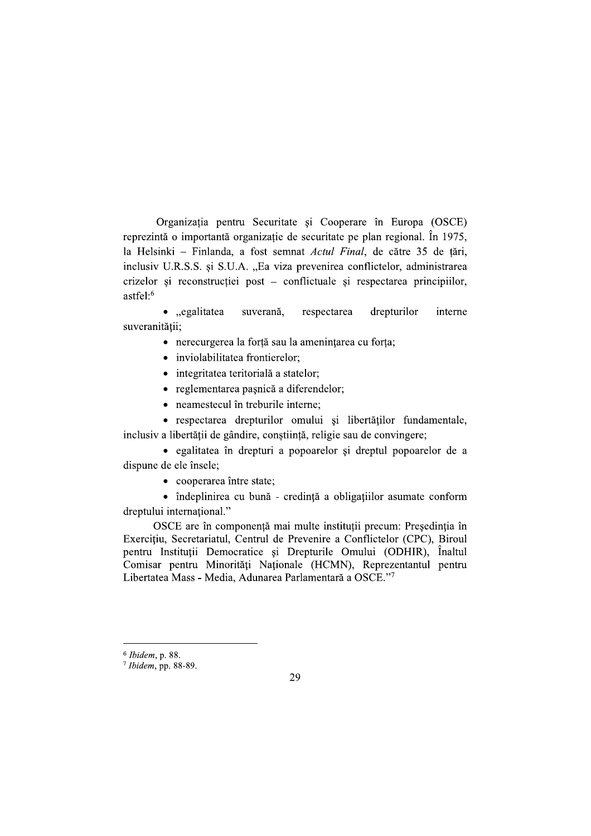Organizația pentru Securitate și Cooperare în Europa (OSCE) reprezintă o importantă organizație de securitate pe plan regional. În 1975, la Helsinki - Finlanda, a fost semnat Actul Final, de către 35 de țări, inclusiv U.R.S.S. și S.U.A. "Ea viza prevenirea conflictelor, administrarea crizelor și reconstrucției post – conflictuale și respectarea principiilor,  $astfe!^6$ 

 $\bullet$ , egalitatea respectarea drepturilor suverană. interne suveranității:

- · nerecurgerea la forță sau la amenințarea cu forța;
- · inviolabilitatea frontierelor;
- · integritatea teritorială a statelor;
- reglementarea pasnică a diferendelor;
- neamestecul în treburile interne:

· respectarea drepturilor omului și libertăților fundamentale, inclusiv a libertății de gândire, conștiință, religie sau de convingere;

· egalitatea în drepturi a popoarelor și dreptul popoarelor de a dispune de ele însele;

• cooperarea între state;

• îndeplinirea cu bună - credință a obligațiilor asumate conform dreptului international."

OSCE are în componență mai multe instituții precum: Președinția în Exercițiu, Secretariatul, Centrul de Prevenire a Conflictelor (CPC), Biroul pentru Instituții Democratice și Drepturile Omului (ODHIR), Înaltul Comisar pentru Minorități Naționale (HCMN), Reprezentantul pentru Libertatea Mass - Media, Adunarea Parlamentară a OSCE."7

<sup>&</sup>lt;sup>6</sup> Ibidem, p. 88.

 $7$  Ibidem, pp. 88-89.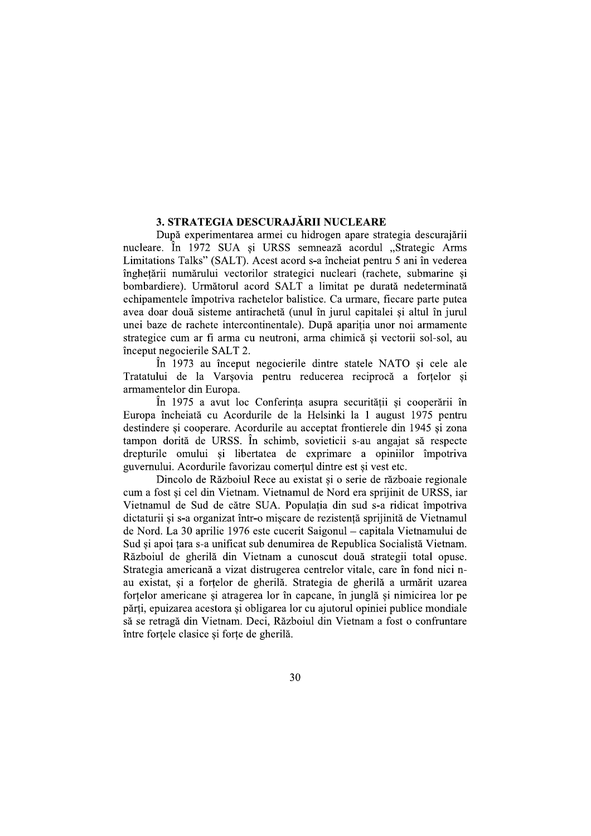## 3. STRATEGIA DESCURAJĂRII NUCLEARE

După experimentarea armei cu hidrogen apare strategia descurajării nucleare. În 1972 SUA și URSS semnează acordul "Strategic Arms Limitations Talks" (SALT). Acest acord s-a încheiat pentru 5 ani în vederea înghetării numărului vectorilor strategici nucleari (rachete, submarine si bombardiere). Următorul acord SALT a limitat pe durată nedeterminată echipamentele împotriva rachetelor balistice. Ca urmare, fiecare parte putea avea doar două sisteme antirachetă (unul în jurul capitalei și altul în jurul unei baze de rachete intercontinentale). După apariția unor noi armamente strategice cum ar fi arma cu neutroni, arma chimică și vectorii sol-sol, au început negocierile SALT 2.

În 1973 au început negocierile dintre statele NATO și cele ale Tratatului de la Varsovia pentru reducerea reciprocă a fortelor si armamentelor din Europa.

În 1975 a avut loc Conferința asupra securității și cooperării în Europa încheiată cu Acordurile de la Helsinki la 1 august 1975 pentru destindere și cooperare. Acordurile au acceptat frontierele din 1945 și zona tampon dorită de URSS. În schimb, sovieticii s-au angajat să respecte drepturile omului si libertatea de exprimare a opiniilor împotriva guvernului. Acordurile favorizau comerțul dintre est și vest etc.

Dincolo de Războiul Rece au existat și o serie de războaie regionale cum a fost și cel din Vietnam. Vietnamul de Nord era sprijinit de URSS, iar Vietnamul de Sud de către SUA. Populația din sud s-a ridicat împotriva dictaturii si s-a organizat într-o miscare de rezistentă sprijinită de Vietnamul de Nord. La 30 aprilie 1976 este cucerit Saigonul – capitala Vietnamului de Sud și apoi țara s-a unificat sub denumirea de Republica Socialistă Vietnam. Războiul de gherilă din Vietnam a cunoscut două strategii total opuse. Strategia americană a vizat distrugerea centrelor vitale, care în fond nici nau existat, și a forțelor de gherilă. Strategia de gherilă a urmărit uzarea fortelor americane și atragerea lor în capcane, în junglă și nimicirea lor pe părti, epuizarea acestora și obligarea lor cu ajutorul opiniei publice mondiale să se retragă din Vietnam. Deci, Războiul din Vietnam a fost o confruntare între forțele clasice și forțe de gherilă.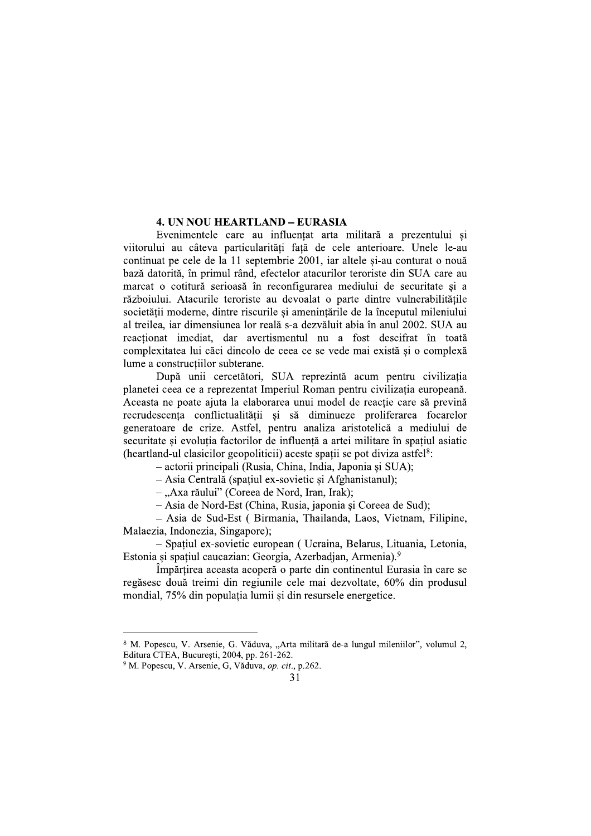## **4. UN NOU HEARTLAND - EURASIA**

Evenimentele care au influentat arta militară a prezentului si viitorului au câteva particularităti fată de cele anterioare. Unele le-au continuat pe cele de la 11 septembrie 2001, iar altele și-au conturat o nouă bază datorită, în primul rând, efectelor atacurilor teroriste din SUA care au marcat o cotitură serioasă în reconfigurarea mediului de securitate și a războiului. Atacurile teroriste au devoalat o parte dintre vulnerabilitățile societății moderne, dintre riscurile și amenintările de la începutul mileniului al treilea, iar dimensiunea lor reală s-a dezvăluit abia în anul 2002. SUA au reactionat imediat, dar avertismentul nu a fost descifrat în toată complexitatea lui căci dincolo de ceea ce se vede mai există si o complexă lume a constructiilor subterane.

După unii cercetători, SUA reprezintă acum pentru civilizatia planetei ceea ce a reprezentat Imperiul Roman pentru civilizația europeană. Aceasta ne poate ajuta la elaborarea unui model de reactie care să prevină recrudescenta conflictualității și să diminueze proliferarea focarelor generatoare de crize. Astfel, pentru analiza aristotelică a mediului de securitate si evolutia factorilor de influentă a artei militare în spatiul asiatic (heartland-ul clasicilor geopoliticii) aceste spatii se pot diviza astfel<sup>8</sup>:

- actorii principali (Rusia, China, India, Japonia și SUA);

- Asia Centrală (spatiul ex-sovietic și Afghanistanul);

-,Axa răului" (Coreea de Nord, Iran, Irak);

- Asia de Nord-Est (China, Rusia, japonia și Coreea de Sud);

- Asia de Sud-Est (Birmania, Thailanda, Laos, Vietnam, Filipine, Malaezia, Indonezia, Singapore);

- Spațiul ex-sovietic european ( Ucraina, Belarus, Lituania, Letonia, Estonia și spațiul caucazian: Georgia, Azerbadian, Armenia).<sup>9</sup>

Împărțirea aceasta acoperă o parte din continentul Eurasia în care se regăsesc două treimi din regiunile cele mai dezvoltate, 60% din produsul mondial, 75% din populația lumii și din resursele energetice.

<sup>8</sup> M. Popescu, V. Arsenie, G. Văduva, "Arta militară de-a lungul mileniilor", volumul 2, Editura CTEA, Bucuresti, 2004, pp. 261-262.

<sup>&</sup>lt;sup>9</sup> M. Popescu, V. Arsenie, G. Văduva, op. cit., p.262.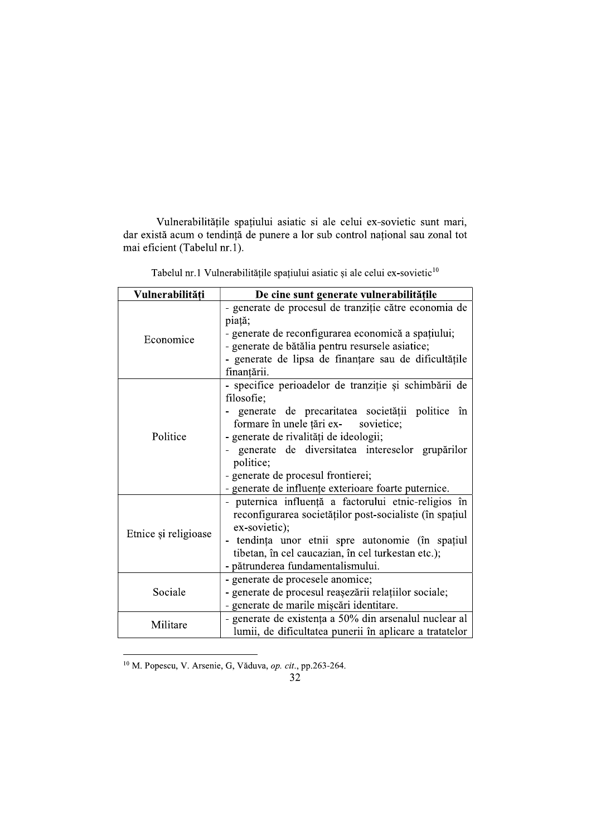Vulnerabilitățile spațiului asiatic si ale celui ex-sovietic sunt mari, dar există acum o tendință de punere a lor sub control național sau zonal tot mai eficient (Tabelul nr.1).

| Vulnerabilități      | De cine sunt generate vulnerabilitățile                                                                                                                                                                                                                                                                                                                                  |
|----------------------|--------------------------------------------------------------------------------------------------------------------------------------------------------------------------------------------------------------------------------------------------------------------------------------------------------------------------------------------------------------------------|
| Economice            | - generate de procesul de tranziție către economia de<br>piață;<br>- generate de reconfigurarea economică a spațiului;<br>- generate de bătălia pentru resursele asiatice;<br>- generate de lipsa de finanțare sau de dificultățile<br>finanțării.                                                                                                                       |
| Politice             | - specifice perioadelor de tranziție și schimbării de<br>filosofie;<br>- generate de precaritatea societății politice în<br>formare în unele țări ex- sovietice;<br>- generate de rivalități de ideologii;<br>generate de diversitatea intereselor grupărilor<br>politice;<br>- generate de procesul frontierei;<br>- generate de influențe exterioare foarte puternice. |
| Etnice și religioase | - puternica influență a factorului etnic-religios în<br>reconfigurarea societăților post-socialiste (în spațiul<br>ex-sovietic);<br>tendința unor etnii spre autonomie (în spațiul<br>tibetan, în cel caucazian, în cel turkestan etc.);<br>- pătrunderea fundamentalismului.                                                                                            |
| Sociale              | - generate de procesele anomice;<br>- generate de procesul reașezării relațiilor sociale;<br>- generate de marile mișcări identitare.                                                                                                                                                                                                                                    |
| Militare             | - generate de existența a 50% din arsenalul nuclear al<br>lumii, de dificultatea punerii în aplicare a tratatelor                                                                                                                                                                                                                                                        |

Tabelul nr.1 Vulnerabilitățile spațiului asiatic și ale celui ex-sovietic<sup>10</sup>

<sup>10</sup> M. Popescu, V. Arsenie, G, Văduva, op. cit., pp.263-264.<br>32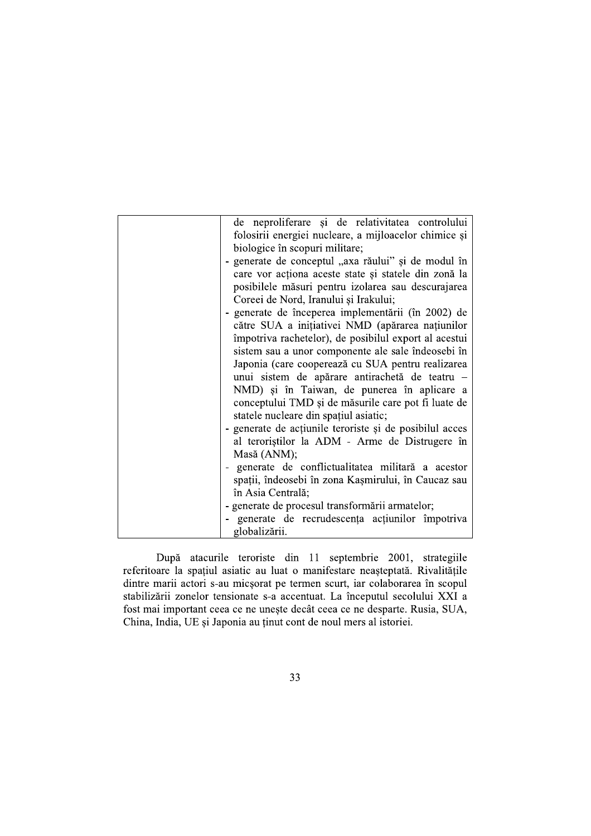| de neproliferare și de relativitatea controlului        |
|---------------------------------------------------------|
| folosirii energiei nucleare, a mijloacelor chimice și   |
| biologice în scopuri militare;                          |
| - generate de conceptul "axa răului" și de modul în     |
| care vor acționa aceste state și statele din zonă la    |
| posibilele măsuri pentru izolarea sau descurajarea      |
| Coreei de Nord, Iranului și Irakului;                   |
| - generate de începerea implementării (în 2002) de      |
| către SUA a inițiativei NMD (apărarea națiunilor        |
| împotriva rachetelor), de posibilul export al acestui   |
| sistem sau a unor componente ale sale îndeosebi în      |
| Japonia (care cooperează cu SUA pentru realizarea       |
| unui sistem de apărare antirachetă de teatru -          |
| NMD) și în Taiwan, de punerea în aplicare a             |
| conceptului TMD și de măsurile care pot fi luate de     |
| statele nucleare din spațiul asiatic;                   |
| - generate de acțiunile teroriste și de posibilul acces |
| al teroriștilor la ADM - Arme de Distrugere în          |
| Masă (ANM);                                             |
| generate de conflictualitatea militară a acestor        |
| spații, îndeosebi în zona Kașmirului, în Caucaz sau     |
| în Asia Centrală;                                       |
| - generate de procesul transformării armatelor;         |
| generate de recrudescenta actiunilor împotriva          |
| globalizării.                                           |
|                                                         |

După atacurile teroriste din 11 septembrie 2001, strategiile referitoare la spațiul asiatic au luat o manifestare neașteptată. Rivalitățile dintre marii actori s-au micșorat pe termen scurt, iar colaborarea în scopul stabilizării zonelor tensionate s-a accentuat. La începutul secolului XXI a fost mai important ceea ce ne unește decât ceea ce ne desparte. Rusia, SUA, China, India, UE și Japonia au ținut cont de noul mers al istoriei.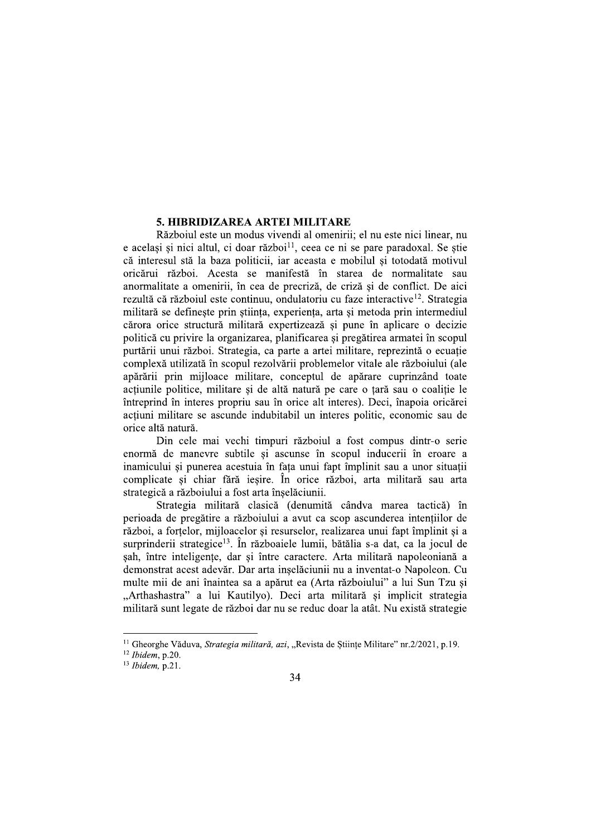## 5. HIBRIDIZAREA ARTEI MILITARE

Războiul este un modus vivendi al omenirii: el nu este nici linear, nu e acelasi si nici altul, ci doar război<sup>11</sup>, ceea ce ni se pare paradoxal. Se stie că interesul stă la baza politicii, iar aceasta e mobilul și totodată motivul oricărui război. Acesta se manifestă în starea de normalitate sau anormalitate a omenirii, în cea de precriză, de criză și de conflict. De aici rezultă că războiul este continuu, ondulatoriu cu faze interactive<sup>12</sup>. Strategia militară se defineste prin stiinta, experienta, arta si metoda prin intermediul cărora orice structură militară expertizează și pune în aplicare o decizie politică cu privire la organizarea, planificarea și pregătirea armatei în scopul purtării unui război. Strategia, ca parte a artei militare, reprezintă o ecuatie complexă utilizată în scopul rezolvării problemelor vitale ale războiului (ale apărării prin mijloace militare, conceptul de apărare cuprinzând toate actiunile politice, militare și de altă natură pe care o tară sau o coalitie le întreprind în interes propriu sau în orice alt interes). Deci, înapoia oricărei actiuni militare se ascunde indubitabil un interes politic, economic sau de orice altă natură.

Din cele mai vechi timpuri războiul a fost compus dintr-o serie enormă de manevre subtile si ascunse în scopul inducerii în eroare a inamicului și punerea acestuia în fața unui fapt împlinit sau a unor situații complicate si chiar fără iesire. În orice război, arta militară sau arta strategică a războiului a fost arta înșelăciunii.

Strategia militară clasică (denumită cândva marea tactică) în perioada de pregătire a războiului a avut ca scop ascunderea intentiilor de război, a fortelor, mijloacelor și resurselor, realizarea unui fapt împlinit și a surprinderii strategice<sup>13</sup>. În războaiele lumii, bătălia s-a dat, ca la jocul de sah, între inteligențe, dar și între caractere. Arta militară napoleoniană a demonstrat acest adevăr. Dar arta inșelăciunii nu a inventat-o Napoleon. Cu multe mii de ani înaintea sa a apărut ea (Arta războiului" a lui Sun Tzu și "Arthashastra" a lui Kautilyo). Deci arta militară și implicit strategia militară sunt legate de război dar nu se reduc doar la atât. Nu există strategie

<sup>&</sup>lt;sup>11</sup> Gheorghe Văduva, Strategia militară, azi, "Revista de Științe Militare" nr.2/2021, p.19.

 $12$  Ibidem, p.20.

 $13$  Ibidem, p.21.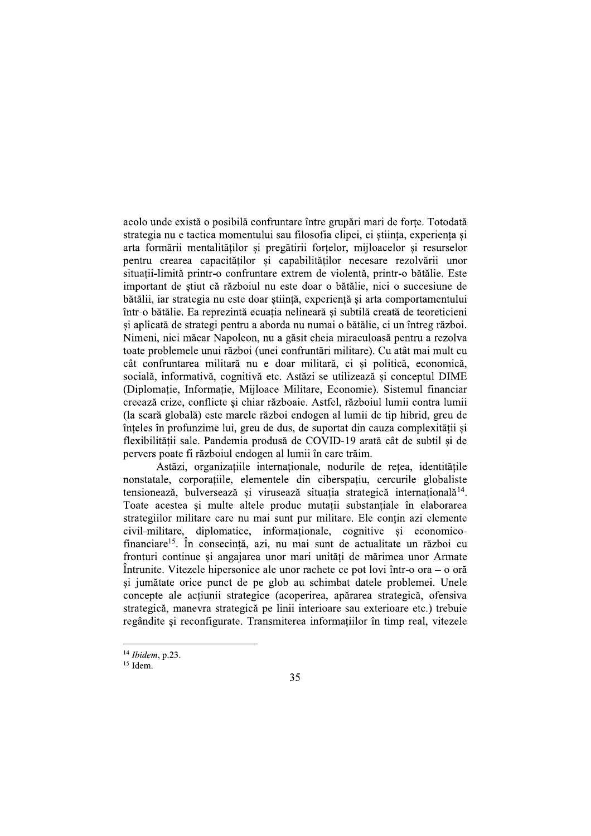acolo unde există o posibilă confruntare între grupări mari de forte. Totodată strategia nu e tactica momentului sau filosofia clipei, ci stiinta, experienta si arta formării mentalitătilor și pregătirii fortelor, miiloacelor și resurselor pentru crearea capacităților și capabilităților necesare rezolvării unor situatii-limită printr-o confruntare extrem de violentă, printr-o bătălie. Este important de stiut că războiul nu este doar o bătălie, nici o succesiune de bătălii, iar strategia nu este doar știință, experiență și arta comportamentului într-o bătălie. Ea reprezintă ecuatia nelineară și subtilă creată de teoreticieni și aplicată de strategi pentru a aborda nu numai o bătălie, ci un întreg război. Nimeni, nici măcar Napoleon, nu a găsit cheia miraculoasă pentru a rezolva toate problemele unui război (unei confruntări militare). Cu atât mai mult cu cât confruntarea militară nu e doar militară, ci și politică, economică, socială, informativă, cognitivă etc. Astăzi se utilizează și conceptul DIME (Diplomatie, Informatie, Mijloace Militare, Economie). Sistemul financiar creează crize, conflicte și chiar războaie. Astfel, războiul lumii contra lumii (la scară globală) este marele război endogen al lumii de tip hibrid, greu de înțeles în profunzime lui, greu de dus, de suportat din cauza complexității și flexibilității sale. Pandemia produsă de COVID-19 arată cât de subtil si de pervers poate fi războiul endogen al lumii în care trăim.

Astăzi, organizațiile internaționale, nodurile de rețea, identitățile nonstatale, corporatiile, elementele din ciberspatiu, cercurile globaliste tensionează, bulversează și virusează situația strategică internațională<sup>14</sup>. Toate acestea și multe altele produc mutații substanțiale în elaborarea strategiilor militare care nu mai sunt pur militare. Ele contin azi elemente civil-militare, diplomatice, informationale, cognitive și economicofinanciare<sup>15</sup>. În consecință, azi, nu mai sunt de actualitate un război cu fronturi continue și angajarea unor mari unități de mărimea unor Armate Întrunite. Vitezele hipersonice ale unor rachete ce pot lovi într-o ora  $-$ o oră si jumătate orice punct de pe glob au schimbat datele problemei. Unele concepte ale acțiunii strategice (acoperirea, apărarea strategică, ofensiva strategică, manevra strategică pe linii interioare sau exterioare etc.) trebuie regândite si reconfigurate. Transmiterea informatiilor în timp real, vitezele

 $14$  Ibidem, p.23.

 $15$  Idem.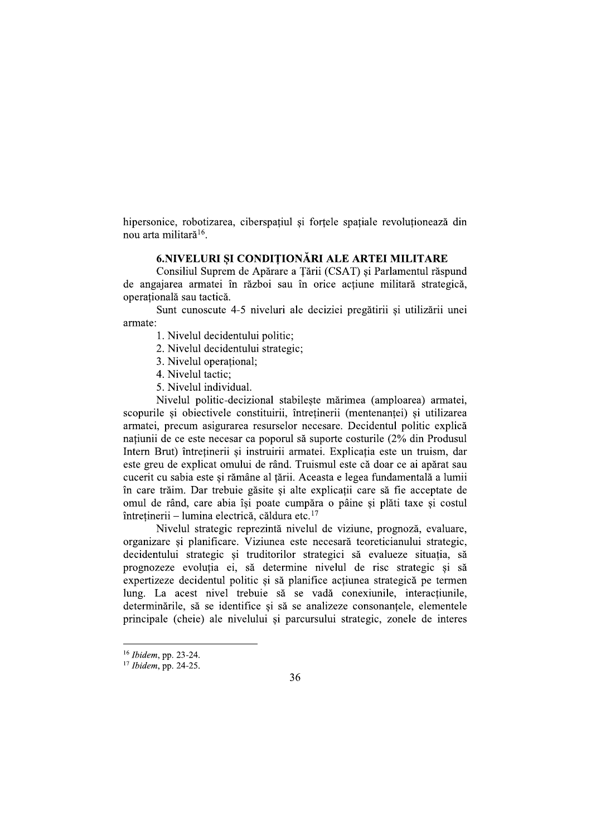hipersonice, robotizarea, ciberspațiul și forțele spațiale revoluționează din nou arta militară<sup>16</sup>.

# 6.NIVELURI SI CONDITIONĂRI ALE ARTEI MILITARE

Consiliul Suprem de Apărare a Țării (CSAT) și Parlamentul răspund de angajarea armatei în război sau în orice acțiune militară strategică, operațională sau tactică.

Sunt cunoscute 4-5 niveluri ale deciziei pregătirii si utilizării unei armate:

1. Nivelul decidentului politic;

- 2. Nivelul decidentului strategic;
- 3. Nivelul operational;
- 4. Nivelul tactic:
- 5. Nivelul individual.

Nivelul politic-decizional stabileste mărimea (amploarea) armatei, scopurile și obiectivele constituirii, întreținerii (mentenanței) și utilizarea armatei, precum asigurarea resurselor necesare. Decidentul politic explică națiunii de ce este necesar ca poporul să suporte costurile (2% din Produsul Intern Brut) întretinerii și instruirii armatei. Explicatia este un truism, dar este greu de explicat omului de rând. Truismul este că doar ce ai apărat sau cucerit cu sabia este și rămâne al țării. Aceasta e legea fundamentală a lumii în care trăim. Dar trebuie găsite si alte explicatii care să fie acceptate de omul de rând, care abia își poate cumpăra o pâine și plăti taxe și costul întreținerii – lumina electrică, căldura etc.<sup>17</sup>

Nivelul strategic reprezintă nivelul de viziune, prognoză, evaluare, organizare și planificare. Viziunea este necesară teoreticianului strategic, decidentului strategic și truditorilor strategici să evalueze situația, să prognozeze evolutia ei, să determine nivelul de risc strategic si să expertizeze decidentul politic și să planifice acțiunea strategică pe termen lung. La acest nivel trebuie să se vadă conexiunile, interactiunile, determinările, să se identifice și să se analizeze consonantele, elementele principale (cheie) ale nivelului si parcursului strategic, zonele de interes

<sup>&</sup>lt;sup>16</sup> Ibidem, pp. 23-24.

 $17$  Ibidem, pp. 24-25.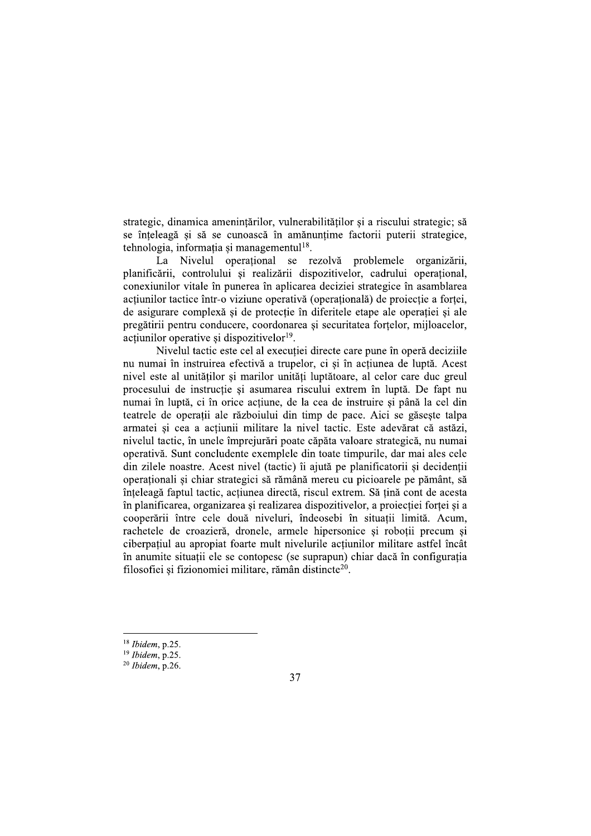strategic, dinamica amenințărilor, vulnerabilităților și a riscului strategic; să se înteleagă și să se cunoască în amănuntime factorii puterii strategice, tehnologia, informația și managementul<sup>18</sup>.

La Nivelul operational se rezolvă problemele organizării, planificării, controlului si realizării dispozitivelor, cadrului operational, conexiunilor vitale în punerea în aplicarea deciziei strategice în asamblarea actiunilor tactice într-o viziune operativă (operatională) de proiecție a forței, de asigurare complexă si de protectie în diferitele etape ale operatiei si ale pregătirii pentru conducere, coordonarea și securitatea forțelor, mijloacelor, actiunilor operative si dispozitivelor<sup>19</sup>.

Nivelul tactic este cel al executiei directe care pune în operă deciziile nu numai în instruirea efectivă a trupelor, ci și în acțiunea de luptă. Acest nivel este al unitătilor si marilor unităti luptătoare, al celor care duc greul procesului de instrucție și asumarea riscului extrem în luptă. De fapt nu numai în luptă, ci în orice actiune, de la cea de instruire si până la cel din teatrele de operatii ale războiului din timp de pace. Aici se găseste talpa armatei și cea a acțiunii militare la nivel tactic. Este adevărat că astăzi, nivelul tactic, în unele împrejurări poate căpăta valoare strategică, nu numai operativă. Sunt concludente exemplele din toate timpurile, dar mai ales cele din zilele noastre. Acest nivel (tactic) îi ajută pe planificatorii și decidenții operationali si chiar strategici să rămână mereu cu picioarele pe pământ, să înțeleagă faptul tactic, acțiunea directă, riscul extrem. Să țină cont de acesta în planificarea, organizarea și realizarea dispozitivelor, a proiecției forței și a cooperării între cele două niveluri, îndeosebi în situatii limită. Acum, rachetele de croazieră, dronele, armele hipersonice si robotii precum si ciberpatiul au apropiat foarte mult nivelurile actiunilor militare astfel încât în anumite situații ele se contopesc (se suprapun) chiar dacă în configurația filosofiei și fizionomiei militare, rămân distincte<sup>20</sup>.

 $18$  Ibidem, p.25.

 $19$  Ibidem, p.25.

 $20$  Ibidem, p.26.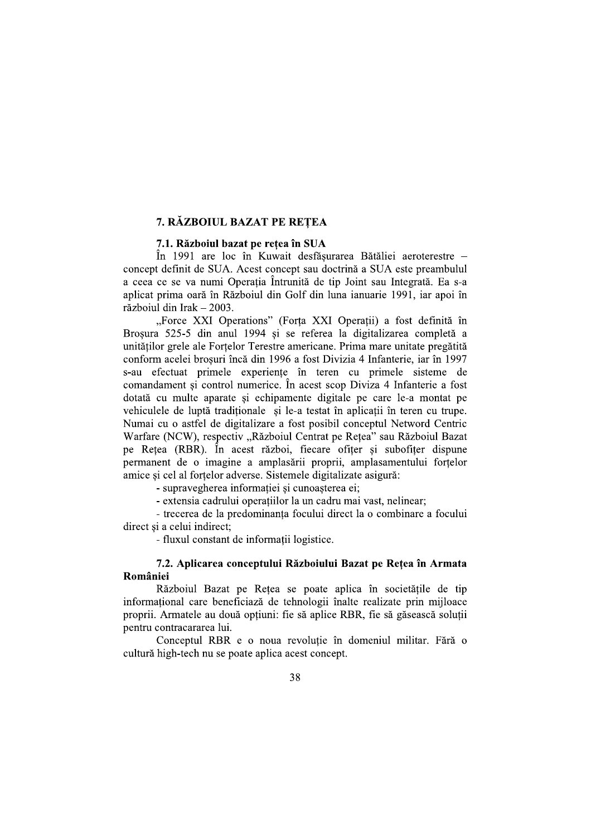# 7. RAZBOIUL BAZAT PE REȚEA

# 7.1. Razbolul bazat pe rețea în SUA

In 1991 are loc in Kuwait destașurarea Bataliei aeroterestre – 7. RĂZBOIUL BAZAT PE R<br>
7.1. Războiul bazat pe rețea î<br>
în 1991 are loc în Kuwait<br>
concept definit de SUA. Acest concep<br>
a ceea ce se va numi Operația Întrur<br>
aplicat prima oară în Războiul din Go<br>
războiul din Irak – 200 concept definit de SUA. Acest concept sau doctrina a SUA este preambului a ceea ce se va numi Operația Intrunita de tip Joint sau Integrata. Ea s-a aplicat prima oara in Razboiul din Golf din luna ianuarie 1991, iar apoi in  $\text{razboul}$  din Irak – 2003.

2 **REȚEA**<br>
a în SUA<br>
it desfășurarea Bătăliei aeroterestre –<br>
ept sau doctrină a SUA este preambulul<br>
runită de tip Joint sau Integrată. Ea s-a<br>
Golf din luna ianuarie 1991, iar apoi în<br>
Forța XXI Operații) a fost definită "Force XXI Operations" (Forța XXI Operații) a fost definită în Broșura 525-5 din anul 1994 și se referea la digitalizarea completă a 7.1. Războiul bazat pe rețea în SUA<br>
în 1991 are loc în Kuwait desfășurarea B<br>
ncept definit de SUA. Acest concept sau doctrină a<br>
eea ce se va numi Operația Întrunită de tip Joint<br>
icat prima oară în Războiul din Golf di unitaților grele ale Forțelor Terestre americane. Prima mare unitate pregatita conform acelei broșuri inca din 1996 a fost Divizia 4 Infanterie, iar în 19 1991 are loc în Kuwait desfășurarea Bătălie<br>definit de SUA. Acest concept sau doctrină a SUA<br>e se va numi Operația Întrunită de tip Joint sau<br>rima oară în Războiul din Golf din luna ianuarie<br>din Irak – 2003.<br>Force XXI Oper nrea Bătăliei aeroterestre –<br>
trină a SUA este preambulul<br>
b Joint sau Integrată. Ea s-a<br>
na ianuarie 1991, iar apoi în<br>
Operații) a fost definită în<br>
la digitalizarea completă a<br>
Prima mare unitate pregătită<br>
izia 4 Infan s-au efectuat primele experiențe în teren cu primele sisteme de comandament și control numerice. În acest scop Diviza 4 Infanterie a fost dotata cu multe aparate și echipamente digitale pe care le-a montat pe venículele de lupta tradiționale și le-a testat în aplicații în teren cu trupe. Numai cu o astfel de digitalizare a fost posibil conceptul Netword Centric Wartare (NCW), respectiv "Razboiul Centrat pe Rețea" sau Razboiul Bazat pe Rețea (RBR). In acest razboi, fiecare ofițer și subofițer dispune permanent de o imagine a amplasarii proprii, amplasamentului forțelor amice și cel al forțelor adverse. Sistemele digitalizate asigura:

- supravegherea informației și cunoașterea ei;

- extensia cadrului operațiilor la un cadru mai vast, nelinear;

- trecerea de la predominanța focului direct la o combinare a focului direct și a celui indirect;

- fluxul constant de informații logistice.

# 7.2. Aplicarea conceptului Războiului Bazat pe Rețea în Armata

Romaniei<br>Războiul Bazat pe Rețea se poate aplica în societățile de tip informațional care beneficiază de tehnologii inalte realizate prin mijloace proprii. Armatele au doua opțiuni: fie sa aplice RBR, fie sa gaseasca soluții pentru contracararea Iui.

Conceptul RBR e o noua revoluție în domeniul militar. Fara o cultura high-tech nu se poate aplica acest concept.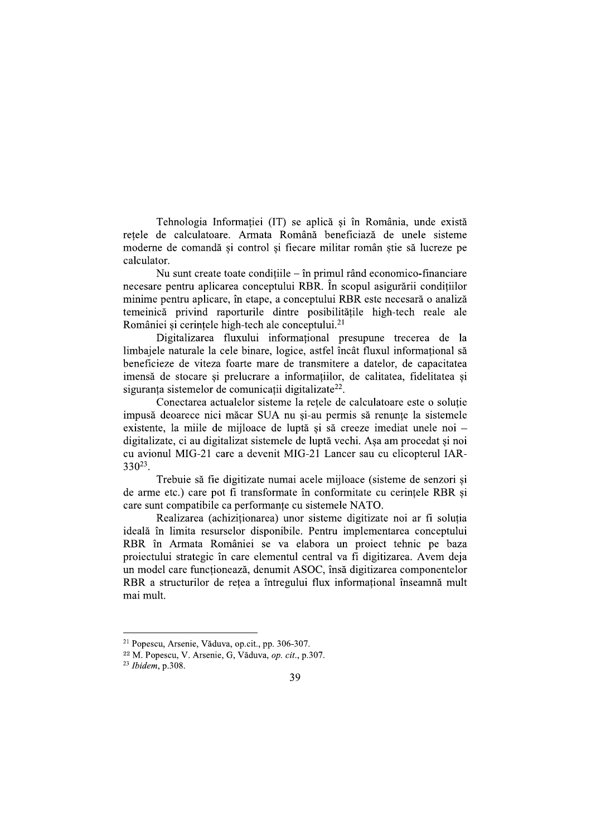Tehnologia Informației (IT) se aplică și în România, unde există retele de calculatoare. Armata Română beneficiază de unele sisteme moderne de comandă și control și fiecare militar român știe să lucreze pe calculator.

Nu sunt create toate conditiile  $-$  în primul rând economico-financiare necesare pentru aplicarea conceptului RBR. În scopul asigurării condițiilor minime pentru aplicare, în etape, a conceptului RBR este necesară o analiză temeinică privind raporturile dintre posibilitățile high-tech reale ale României și cerințele high-tech ale conceptului.<sup>21</sup>

Digitalizarea fluxului informational presupune trecerea de la limbajele naturale la cele binare, logice, astfel încât fluxul informational să beneficieze de viteza foarte mare de transmitere a datelor, de capacitatea imensă de stocare si prelucrare a informatiilor, de calitatea, fidelitatea si siguranța sistemelor de comunicații digitalizate<sup>22</sup>.

Conectarea actualelor sisteme la retele de calculatoare este o solutie impusă deoarece nici măcar SUA nu si-au permis să renunte la sistemele existente, la mille de mijloace de luptă și să creeze imediat unele noi – digitalizate, ci au digitalizat sistemele de luptă vechi. Asa am procedat și noi cu avionul MIG-21 care a devenit MIG-21 Lancer sau cu elicopterul IAR- $330^{23}$ .

Trebuie să fie digitizate numai acele mijloace (sisteme de senzori si de arme etc.) care pot fi transformate în conformitate cu cerințele RBR și care sunt compatibile ca performante cu sistemele NATO.

Realizarea (achizitionarea) unor sisteme digitizate noi ar fi solutia ideală în limita resurselor disponibile. Pentru implementarea conceptului RBR în Armata României se va elabora un proiect tehnic pe baza proiectului strategic în care elementul central va fi digitizarea. Avem deja un model care funcționează, denumit ASOC, însă digitizarea componentelor RBR a structurilor de rețea a întregului flux informațional înseamnă mult mai mult.

<sup>&</sup>lt;sup>21</sup> Popescu, Arsenie, Văduva, op.cit., pp. 306-307.

<sup>&</sup>lt;sup>22</sup> M. Popescu, V. Arsenie, G. Văduva, op. cit., p.307.

 $23$  Ibidem, p.308.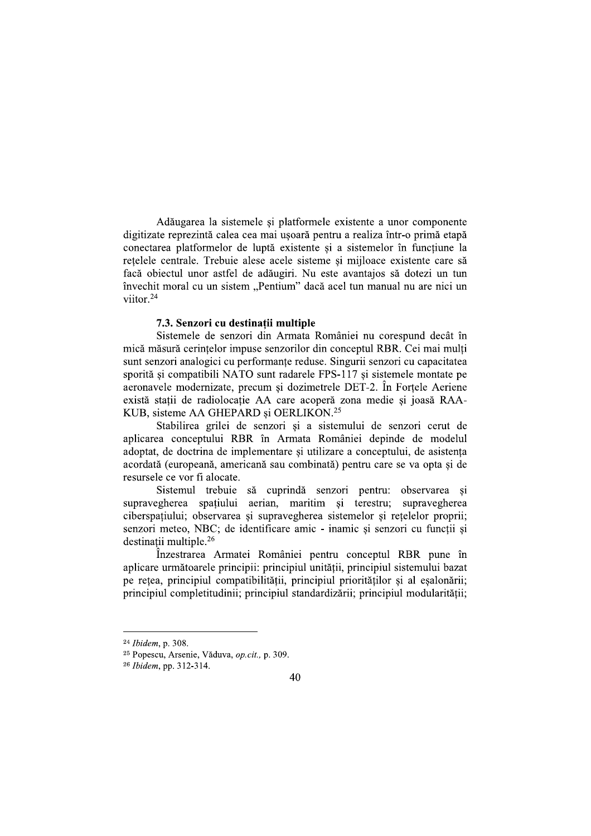Adăugarea la sistemele și platformele existente a unor componente digitizate reprezintă calea cea mai usoară pentru a realiza într-o primă etapă conectarea platformelor de luptă existente si a sistemelor în functiune la retelele centrale. Trebuie alese acele sisteme și mijloace existente care să facă obiectul unor astfel de adăugiri. Nu este avantajos să dotezi un tun învechit moral cu un sistem "Pentium" dacă acel tun manual nu are nici un viitor $^{24}$ 

## 7.3. Senzori cu destinatii multiple

Sistemele de senzori din Armata României nu corespund decât în mică măsură cerintelor impuse senzorilor din conceptul RBR. Cei mai multi sunt senzori analogici cu performanțe reduse. Singurii senzori cu capacitatea sporită și compatibili NATO sunt radarele FPS-117 și sistemele montate pe aeronavele modernizate, precum si dozimetrele DET-2, În Fortele Aeriene există stații de radiolocație AA care acoperă zona medie și joasă RAA-KUB, sisteme AA GHEPARD si OERLIKON.<sup>25</sup>

Stabilirea grilei de senzori și a sistemului de senzori cerut de aplicarea conceptului RBR în Armata României depinde de modelul adoptat, de doctrina de implementare si utilizare a conceptului, de asistenta acordată (europeană, americană sau combinată) pentru care se va opta și de resursele ce vor fi alocate.

Sistemul trebuie să cuprindă senzori pentru: observarea si supravegherea spațiului aerian, maritim și terestru; supravegherea ciberspațiului; observarea și supravegherea sistemelor și rețelelor proprii; senzori meteo, NBC; de identificare amic - inamic si senzori cu functii si destinatii multiple.<sup>26</sup>

Înzestrarea Armatei României pentru conceptul RBR pune în aplicare următoarele principii: principiul unitătii, principiul sistemului bazat pe rețea, principiul compatibilității, principiul priorităților și al eșalonării; principiul completitudinii; principiul standardizării; principiul modularității;

<sup>&</sup>lt;sup>24</sup> Ibidem, p. 308.

<sup>&</sup>lt;sup>25</sup> Popescu, Arsenie, Văduva, op.cit., p. 309.

<sup>&</sup>lt;sup>26</sup> *Ibidem*, pp. 312-314.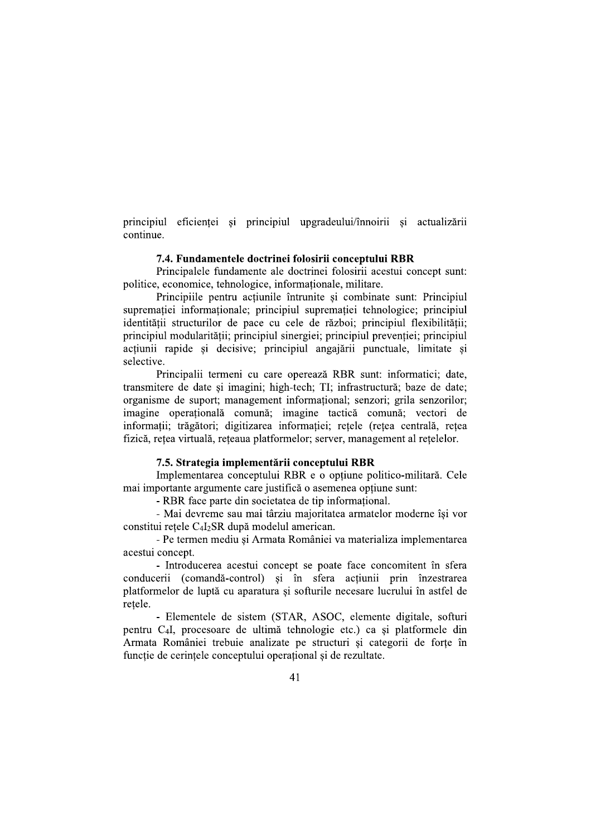principiul eficienței și principiul upgradeului/înnoirii și actualizării continue.

## 7.4. Fundamentele doctrinei folosirii conceptului RBR

Principalele fundamente ale doctrinei folosirii acestui concept sunt: politice, economice, tehnologice, informationale, militare.

Principiile pentru acțiunile întrunite și combinate sunt: Principiul suprematiei informationale; principiul suprematiei tehnologice; principiul identității structurilor de pace cu cele de război; principiul flexibilității; principiul modularității; principiul sinergiei; principiul prevenției; principiul actiunii rapide si decisive; principiul angajării punctuale, limitate si selective.

Principalii termeni cu care operează RBR sunt: informatici; date, transmitere de date si imagini: high-tech: TI: infrastructură: baze de date: organisme de suport; management informational; senzori; grila senzorilor; imagine operațională comună; imagine tactică comună; vectori de informații; trăgători; digitizarea informației; rețele (rețea centrală, rețea fizică, rețea virtuală, rețeaua platformelor; server, management al rețelelor.

## 7.5. Strategia implementării conceptului RBR

Implementarea conceptului RBR e o optiune politico-militară. Cele mai importante argumente care justifică o asemenea optiune sunt:

- RBR face parte din societatea de tip informational.

- Mai devreme sau mai târziu majoritatea armatelor moderne își vor constitui rețele C<sub>4</sub>I<sub>2</sub>SR după modelul american.

- Pe termen mediu și Armata României va materializa implementarea acestui concept.

- Introducerea acestui concept se poate face concomitent în sfera conducerii (comandă-control) și în sfera acțiunii prin înzestrarea platformelor de luptă cu aparatura și softurile necesare lucrului în astfel de retele.

- Elementele de sistem (STAR, ASOC, elemente digitale, softuri pentru C<sub>4</sub>I, procesoare de ultimă tehnologie etc.) ca si platformele din Armata României trebuie analizate pe structuri și categorii de forțe în functie de cerintele conceptului operational si de rezultate.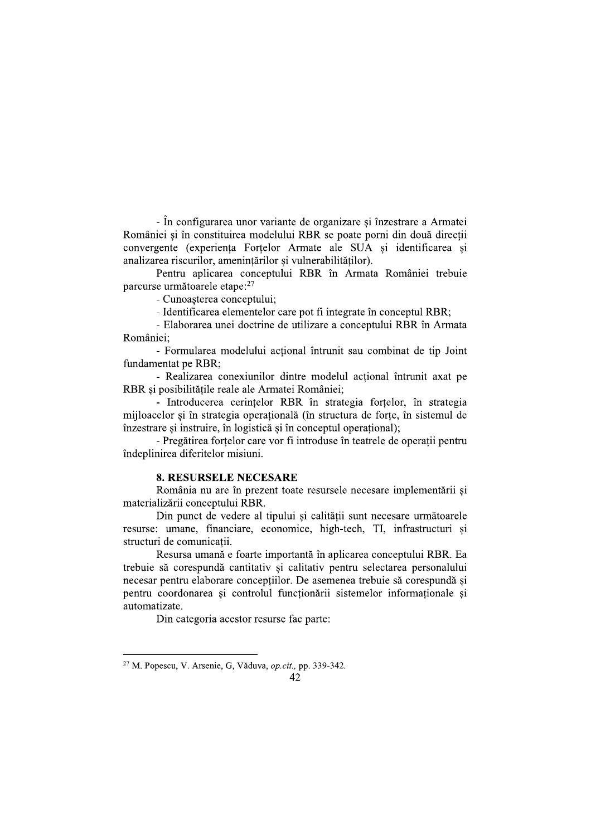- În configurarea unor variante de organizare și înzestrare a Armatei României si în constituirea modelului RBR se poate porni din două directii convergente (experienta Fortelor Armate ale SUA si identificarea si analizarea riscurilor, amenințărilor și vulnerabilităților).

Pentru aplicarea conceptului RBR în Armata României trebuie parcurse următoarele etape:<sup>27</sup>

- Cunoașterea conceptului;

- Identificarea elementelor care pot fi integrate în conceptul RBR:

- Elaborarea unei doctrine de utilizare a conceptului RBR în Armata României:

- Formularea modelului actional întrunit sau combinat de tip Joint fundamentat pe RBR;

- Realizarea conexiunilor dintre modelul actional întrunit axat pe RBR și posibilitățile reale ale Armatei României;

- Introducerea cerințelor RBR în strategia forțelor, în strategia miloacelor si în strategia operatională (în structura de forte, în sistemul de înzestrare și instruire, în logistică și în conceptul operațional);

- Pregătirea fortelor care vor fi introduse în teatrele de operatii pentru îndeplinirea diferitelor misiuni.

## **8. RESURSELE NECESARE**

România nu are în prezent toate resursele necesare implementării si materializării conceptului RBR.

Din punct de vedere al tipului și calității sunt necesare următoarele resurse: umane, financiare, economice, high-tech, TI, infrastructuri si structuri de comunicatii.

Resursa umană e foarte importantă în aplicarea conceptului RBR. Ea trebuie să corespundă cantitativ și calitativ pentru selectarea personalului necesar pentru elaborare concepțiilor. De asemenea trebuie să corespundă și pentru coordonarea si controlul functionării sistemelor informationale si automatizate.

Din categoria acestor resurse fac parte:

<sup>&</sup>lt;sup>27</sup> M. Popescu, V. Arsenie, G, Văduva, op.cit., pp. 339-342.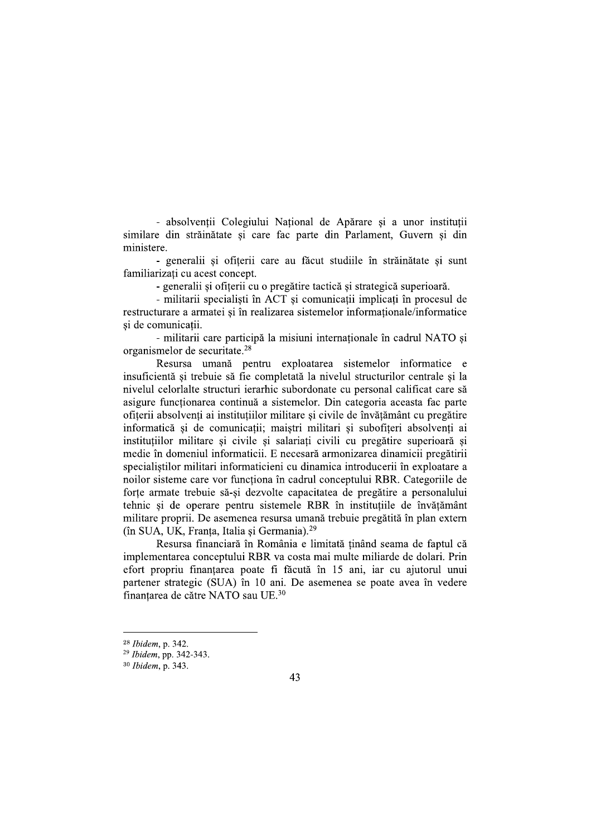- absolvenții Colegiului Național de Apărare și a unor instituții similare din străinătate si care fac parte din Parlament, Guvern si din ministere.

- generalii și ofițerii care au făcut studiile în străinătate și sunt familiarizati cu acest concept.

- generalii și ofițerii cu o pregătire tactică și strategică superioară.

- militarii specialisti în ACT și comunicații implicați în procesul de restructurare a armatei si în realizarea sistemelor informationale/informatice si de comunicații.

- militarii care participă la misiuni internaționale în cadrul NATO și organismelor de securitate.<sup>28</sup>

Resursa umană pentru exploatarea sistemelor informatice e insuficientă si trebuie să fie completată la nivelul structurilor centrale si la nivelul celorlalte structuri ierarhic subordonate cu personal calificat care să asigure functionarea continuă a sistemelor. Din categoria aceasta fac parte ofiterii absolventi ai institutiilor militare si civile de învătământ cu pregătire informatică și de comunicații; maiștri militari și subofițeri absolvenți ai institutiilor militare si civile si salariati civili cu pregătire superioară si medie în domeniul informaticii. E necesară armonizarea dinamicii pregătirii specialistilor militari informaticieni cu dinamica introducerii în exploatare a noilor sisteme care vor functiona în cadrul conceptului RBR. Categoriile de forțe armate trebuie să-și dezvolte capacitatea de pregătire a personalului tehnic și de operare pentru sistemele RBR în instituțiile de învățământ militare proprii. De asemenea resursa umană trebuie pregătită în plan extern (în SUA, UK, Franta, Italia și Germania).<sup>29</sup>

Resursa financiară în România e limitată tinând seama de faptul că implementarea conceptului RBR va costa mai multe miliarde de dolari. Prin efort propriu finanțarea poate fi făcută în 15 ani, iar cu ajutorul unui partener strategic (SUA) în 10 ani. De asemenea se poate avea în vedere finantarea de către NATO sau UE.<sup>30</sup>

<sup>&</sup>lt;sup>28</sup> Ibidem, p. 342.

<sup>&</sup>lt;sup>29</sup> Ibidem, pp. 342-343.

<sup>&</sup>lt;sup>30</sup> Ibidem, p. 343.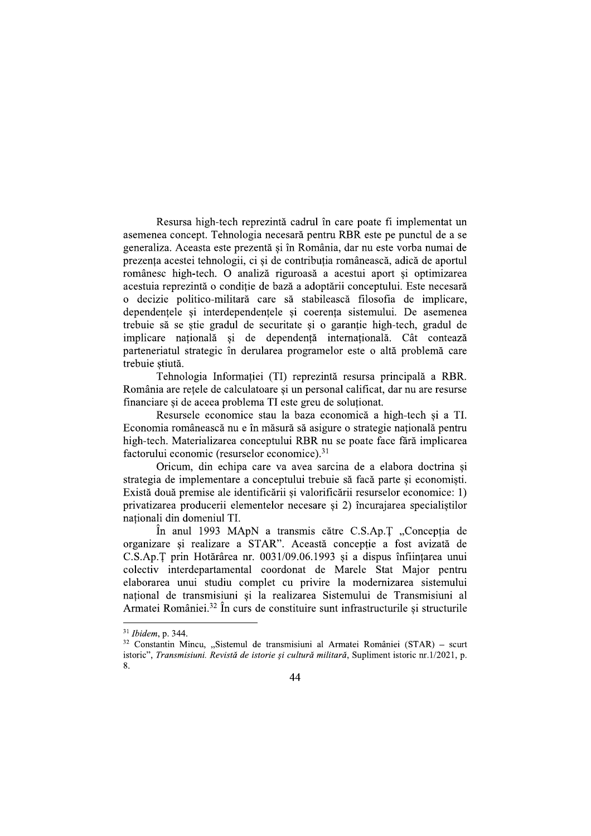Resursa high-tech reprezintă cadrul în care poate fi implementat un asemenea concept. Tehnologia necesară pentru RBR este pe punctul de a se generaliza. Aceasta este prezentă și în România, dar nu este vorba numai de prezenta acestei tehnologii, ci și de contribuția românească, adică de aportul românesc high-tech. O analiză riguroasă a acestui aport si optimizarea acestuia reprezintă o condiție de bază a adoptării conceptului. Este necesară o decizie politico-militară care să stabilească filosofia de implicare, dependențele și interdependențele și coerența sistemului. De asemenea trebuie să se știe gradul de securitate și o garanție high-tech, gradul de implicare națională și de dependență internațională. Cât contează parteneriatul strategic în derularea programelor este o altă problemă care trebuie știută.

Tehnologia Informatiei (TI) reprezintă resursa principală a RBR. România are rețele de calculatoare și un personal calificat, dar nu are resurse financiare și de aceea problema TI este greu de soluționat.

Resursele economice stau la baza economică a high-tech si a TI. Economia românească nu e în măsură să asigure o strategie națională pentru high-tech. Materializarea conceptului RBR nu se poate face fără implicarea factorului economic (resurselor economice).<sup>31</sup>

Oricum, din echipa care va avea sarcina de a elabora doctrina și strategia de implementare a conceptului trebuie să facă parte si economisti. Există două premise ale identificării și valorificării resurselor economice: 1) privatizarea producerii elementelor necesare și 2) încurajarea specialiștilor nationali din domeniul TI.

În anul 1993 MApN a transmis către C.S.Ap.T "Concepția de organizare si realizare a STAR". Această conceptie a fost avizată de C.S.Ap.T prin Hotărârea nr. 0031/09.06.1993 și a dispus înființarea unui colectiv interdepartamental coordonat de Marele Stat Major pentru elaborarea unui studiu complet cu privire la modernizarea sistemului național de transmisiuni și la realizarea Sistemului de Transmisiuni al Armatei României.<sup>32</sup> În curs de constituire sunt infrastructurile si structurile

<sup>&</sup>lt;sup>31</sup> Ibidem, p. 344.

<sup>&</sup>lt;sup>32</sup> Constantin Mincu, "Sistemul de transmisiuni al Armatei României (STAR) - scurt istoric", Transmisiuni. Revistă de istorie și cultură militară, Supliment istoric nr.1/2021, p. 8.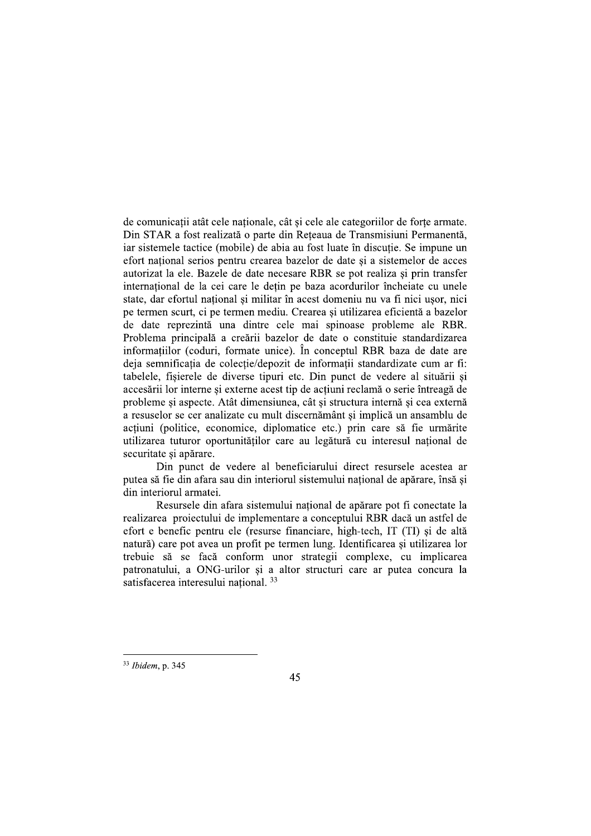de comunicatii atât cele nationale, cât și cele ale categoriilor de forte armate. Din STAR a fost realizată o parte din Reteaua de Transmisiuni Permanentă, iar sistemele tactice (mobile) de abia au fost luate în discutie. Se impune un efort national serios pentru crearea bazelor de date și a sistemelor de acces autorizat la ele. Bazele de date necesare RBR se pot realiza si prin transfer internațional de la cei care le dețin pe baza acordurilor încheiate cu unele state, dar efortul național și militar în acest domeniu nu va fi nici ușor, nici pe termen scurt, ci pe termen mediu. Crearea si utilizarea eficientă a bazelor de date reprezintă una dintre cele mai spinoase probleme ale RBR. Problema principală a creării bazelor de date o constituie standardizarea informatiilor (coduri, formate unice). În conceptul RBR baza de date are deja semnificația de colecție/depozit de informații standardizate cum ar fi: tabelele, fisierele de diverse tipuri etc. Din punct de vedere al situării si accesării lor interne și externe acest tip de acțiuni reclamă o serie întreagă de probleme și aspecte. Atât dimensiunea, cât și structura internă și cea externă a resuselor se cer analizate cu mult discernământ și implică un ansamblu de acțiuni (politice, economice, diplomatice etc.) prin care să fie urmărite utilizarea tuturor oportunitătilor care au legătură cu interesul national de securitate si apărare.

Din punct de vedere al beneficiarului direct resursele acestea ar putea să fie din afara sau din interiorul sistemului national de apărare, însă si din interiorul armatei.

Resursele din afara sistemului național de apărare pot fi conectate la realizarea projectului de implementare a conceptului RBR daçă un astfel de efort e benefic pentru ele (resurse financiare, high-tech, IT (TI) si de altă natură) care pot avea un profit pe termen lung. Identificarea și utilizarea lor trebuie să se facă conform unor strategii complexe, cu implicarea patronatului, a ONG-urilor și a altor structuri care ar putea concura la satisfacerea interesului national. 33

<sup>&</sup>lt;sup>33</sup> Ibidem, p. 345